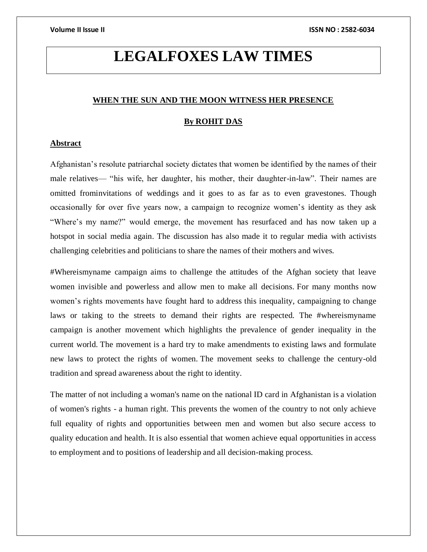# **LEGALFOXES LAW TIMES**

### **WHEN THE SUN AND THE MOON WITNESS HER PRESENCE**

### **By ROHIT DAS**

# **Abstract**

Afghanistan's resolute patriarchal society dictates that women be identified by the names of their male relatives— "his wife, her daughter, his mother, their daughter-in-law". Their names are omitted frominvitations of weddings and it goes to as far as to even gravestones. Though occasionally for over five years now, a campaign to recognize women's identity as they ask "Where's my name?" would emerge, the movement has resurfaced and has now taken up a hotspot in social media again. The discussion has also made it to regular media with activists challenging celebrities and politicians to share the names of their mothers and wives.

#Whereismyname campaign aims to challenge the attitudes of the Afghan society that leave women invisible and powerless and allow men to make all decisions. For many months now women's rights movements have fought hard to address this inequality, campaigning to change laws or taking to the streets to demand their rights are respected. The #whereismyname campaign is another movement which highlights the prevalence of gender inequality in the current world. The movement is a hard try to make amendments to existing laws and formulate new laws to protect the rights of women. The movement seeks to challenge the century-old tradition and spread awareness about the right to identity.

The matter of not including a woman's name on the national ID card in Afghanistan is a violation of women's rights - a human right. This prevents the women of the country to not only achieve full equality of rights and opportunities between men and women but also secure access to quality education and health. It is also essential that women achieve equal opportunities in access to employment and to positions of leadership and all decision-making process.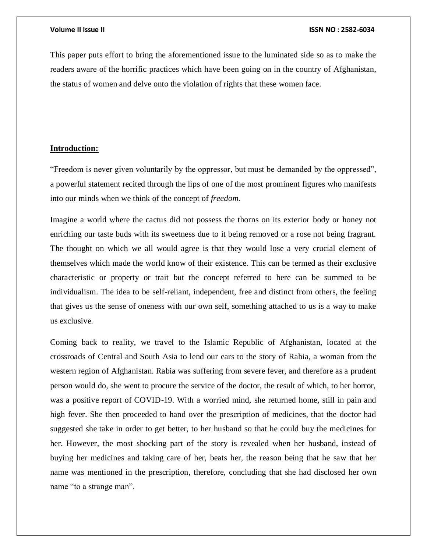This paper puts effort to bring the aforementioned issue to the luminated side so as to make the readers aware of the horrific practices which have been going on in the country of Afghanistan, the status of women and delve onto the violation of rights that these women face.

# **Introduction:**

"Freedom is never given voluntarily by the oppressor, but must be demanded by the oppressed", a powerful statement recited through the lips of one of the most prominent figures who manifests into our minds when we think of the concept of *freedom.*

Imagine a world where the cactus did not possess the thorns on its exterior body or honey not enriching our taste buds with its sweetness due to it being removed or a rose not being fragrant. The thought on which we all would agree is that they would lose a very crucial element of themselves which made the world know of their existence. This can be termed as their exclusive characteristic or property or trait but the concept referred to here can be summed to be individualism. The idea to be self-reliant, independent, free and distinct from others, the feeling that gives us the sense of oneness with our own self, something attached to us is a way to make us exclusive.

Coming back to reality, we travel to the Islamic Republic of Afghanistan, located at the crossroads of Central and South Asia to lend our ears to the story of Rabia, a woman from the western region of Afghanistan. Rabia was suffering from severe fever, and therefore as a prudent person would do, she went to procure the service of the doctor, the result of which, to her horror, was a positive report of COVID-19. With a worried mind, she returned home, still in pain and high fever. She then proceeded to hand over the prescription of medicines, that the doctor had suggested she take in order to get better, to her husband so that he could buy the medicines for her. However, the most shocking part of the story is revealed when her husband, instead of buying her medicines and taking care of her, beats her, the reason being that he saw that her name was mentioned in the prescription, therefore, concluding that she had disclosed her own name "to a strange man".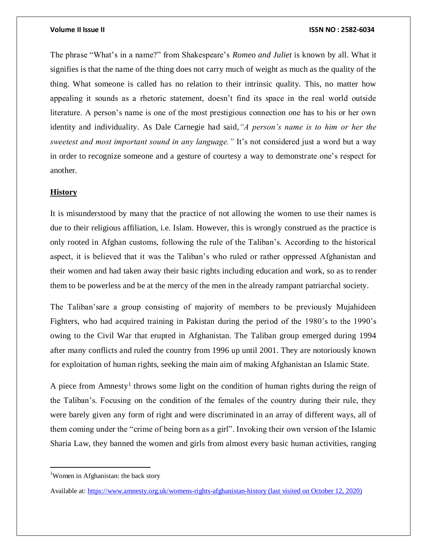The phrase "What's in a name?" from Shakespeare's *Romeo and Juliet* is known by all. What it signifies is that the name of the thing does not carry much of weight as much as the quality of the thing. What someone is called has no relation to their intrinsic quality. This, no matter how appealing it sounds as a rhetoric statement, doesn't find its space in the real world outside literature. A person's name is one of the most prestigious connection one has to his or her own identity and individuality. As Dale Carnegie had said,*"A person's name is to him or her the sweetest and most important sound in any language."* It's not considered just a word but a way in order to recognize someone and a gesture of courtesy a way to demonstrate one's respect for another.

# **History**

It is misunderstood by many that the practice of not allowing the women to use their names is due to their religious affiliation, i.e. Islam. However, this is wrongly construed as the practice is only rooted in Afghan customs, following the rule of the Taliban's. According to the historical aspect, it is believed that it was the Taliban's who ruled or rather oppressed Afghanistan and their women and had taken away their basic rights including education and work, so as to render them to be powerless and be at the mercy of the men in the already rampant patriarchal society.

The Taliban'sare a group consisting of majority of members to be previously Mujahideen Fighters, who had acquired training in Pakistan during the period of the 1980's to the 1990's owing to the Civil War that erupted in Afghanistan. The Taliban group emerged during 1994 after many conflicts and ruled the country from 1996 up until 2001. They are notoriously known for exploitation of human rights, seeking the main aim of making Afghanistan an Islamic State.

A piece from Amnesty<sup>1</sup> throws some light on the condition of human rights during the reign of the Taliban's. Focusing on the condition of the females of the country during their rule, they were barely given any form of right and were discriminated in an array of different ways, all of them coming under the "crime of being born as a girl". Invoking their own version of the Islamic Sharia Law, they banned the women and girls from almost every basic human activities, ranging

<sup>&</sup>lt;sup>1</sup>Women in Afghanistan: the back story

Available at:<https://www.amnesty.org.uk/womens-rights-afghanistan-history> (last visited on October 12, 2020)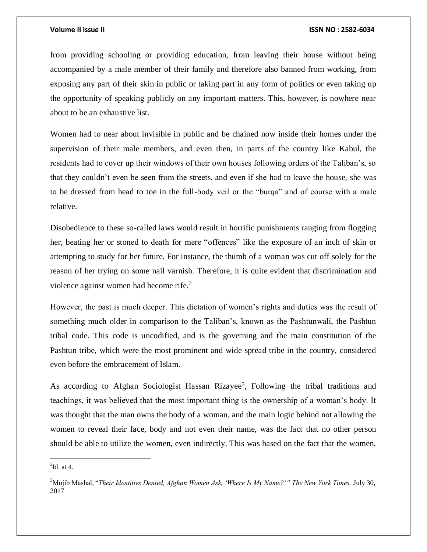from providing schooling or providing education, from leaving their house without being accompanied by a male member of their family and therefore also banned from working, from exposing any part of their skin in public or taking part in any form of politics or even taking up the opportunity of speaking publicly on any important matters. This, however, is nowhere near about to be an exhaustive list.

Women had to near about invisible in public and be chained now inside their homes under the supervision of their male members, and even then, in parts of the country like Kabul, the residents had to cover up their windows of their own houses following orders of the Taliban's, so that they couldn't even be seen from the streets, and even if she had to leave the house, she was to be dressed from head to toe in the full-body veil or the "burqa" and of course with a male relative.

Disobedience to these so-called laws would result in horrific punishments ranging from flogging her, beating her or stoned to death for mere "offences" like the exposure of an inch of skin or attempting to study for her future. For instance, the thumb of a woman was cut off solely for the reason of her trying on some nail varnish. Therefore, it is quite evident that discrimination and violence against women had become rife.<sup>2</sup>

However, the past is much deeper. This dictation of women's rights and duties was the result of something much older in comparison to the Taliban's, known as the Pashtunwali, the Pashtun tribal code. This code is uncodified, and is the governing and the main constitution of the Pashtun tribe, which were the most prominent and wide spread tribe in the country, considered even before the embracement of Islam.

As according to Afghan Sociologist Hassan Rizayee<sup>3</sup>, Following the tribal traditions and teachings, it was believed that the most important thing is the ownership of a woman's body. It was thought that the man owns the body of a woman, and the main logic behind not allowing the women to reveal their face, body and not even their name, was the fact that no other person should be able to utilize the women, even indirectly. This was based on the fact that the women,

 $\overline{\phantom{a}}$ 

 $2$ Id. at 4.

<sup>&</sup>lt;sup>3</sup>Mujib Mashal, "*Their Identities Denied, Afghan Women Ask, 'Where Is My Name?'" The New York Times, July 30,* 2017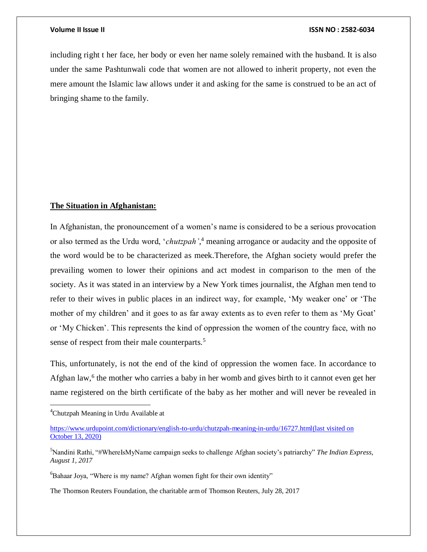including right t her face, her body or even her name solely remained with the husband. It is also under the same Pashtunwali code that women are not allowed to inherit property, not even the mere amount the Islamic law allows under it and asking for the same is construed to be an act of bringing shame to the family.

### **The Situation in Afghanistan:**

In Afghanistan, the pronouncement of a women's name is considered to be a serious provocation or also termed as the Urdu word, '*chutzpah'*, <sup>4</sup> meaning arrogance or audacity and the opposite of the word would be to be characterized as meek.Therefore, the Afghan society would prefer the prevailing women to lower their opinions and act modest in comparison to the men of the society. As it was stated in an interview by a New York times journalist, the Afghan men tend to refer to their wives in public places in an indirect way, for example, 'My weaker one' or 'The mother of my children' and it goes to as far away extents as to even refer to them as 'My Goat' or 'My Chicken'. This represents the kind of oppression the women of the country face, with no sense of respect from their male counterparts.<sup>5</sup>

This, unfortunately, is not the end of the kind of oppression the women face. In accordance to Afghan law,<sup>6</sup> the mother who carries a baby in her womb and gives birth to it cannot even get her name registered on the birth certificate of the baby as her mother and will never be revealed in

 $\overline{a}$ 

The Thomson Reuters Foundation, the charitable arm of Thomson Reuters, July 28, 2017

<sup>&</sup>lt;sup>4</sup>Chutzpah Meaning in Urdu Available at

[https://www.urdupoint.com/dictionary/english-to-urdu/chutzpah-meaning-in-urdu/16727.html\(](https://www.urdupoint.com/dictionary/english-to-urdu/chutzpah-meaning-in-urdu/16727.html)last visited on October 13, 2020)

<sup>5</sup>Nandini Rathi, "#WhereIsMyName campaign seeks to challenge Afghan society's patriarchy" *The Indian Express, August 1, 2017*

 ${}^{6}$ Bahaar Joya, "Where is my name? Afghan women fight for their own identity"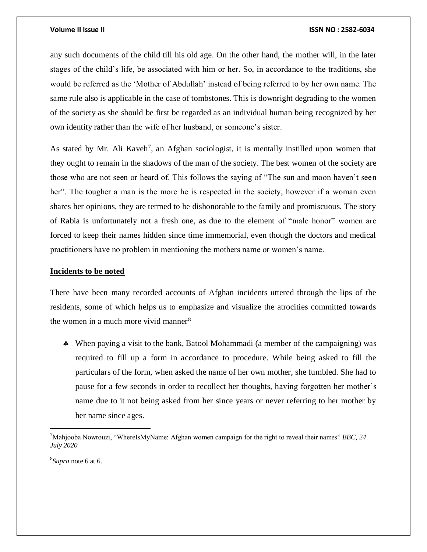any such documents of the child till his old age. On the other hand, the mother will, in the later stages of the child's life, be associated with him or her. So, in accordance to the traditions, she would be referred as the 'Mother of Abdullah' instead of being referred to by her own name. The same rule also is applicable in the case of tombstones. This is downright degrading to the women of the society as she should be first be regarded as an individual human being recognized by her own identity rather than the wife of her husband, or someone's sister.

As stated by Mr. Ali Kaveh<sup>7</sup>, an Afghan sociologist, it is mentally instilled upon women that they ought to remain in the shadows of the man of the society. The best women of the society are those who are not seen or heard of. This follows the saying of "The sun and moon haven't seen her". The tougher a man is the more he is respected in the society, however if a woman even shares her opinions, they are termed to be dishonorable to the family and promiscuous. The story of Rabia is unfortunately not a fresh one, as due to the element of "male honor" women are forced to keep their names hidden since time immemorial, even though the doctors and medical practitioners have no problem in mentioning the mothers name or women's name.

### **Incidents to be noted**

There have been many recorded accounts of Afghan incidents uttered through the lips of the residents, some of which helps us to emphasize and visualize the atrocities committed towards the women in a much more vivid manner<sup>8</sup>

 When paying a visit to the bank, Batool Mohammadi (a member of the campaigning) was required to fill up a form in accordance to procedure. While being asked to fill the particulars of the form, when asked the name of her own mother, she fumbled. She had to pause for a few seconds in order to recollect her thoughts, having forgotten her mother's name due to it not being asked from her since years or never referring to her mother by her name since ages.

8 *Supra* note 6 at 6.

<sup>7</sup>Mahjooba Nowrouzi, "WhereIsMyName: Afghan women campaign for the right to reveal their names" *BBC, 24 July 2020*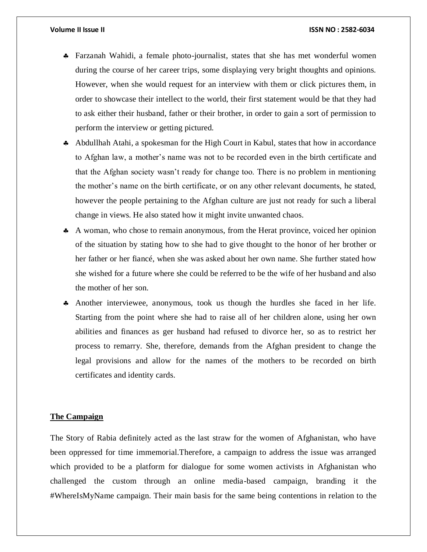- Farzanah Wahidi, a female photo-journalist, states that she has met wonderful women during the course of her career trips, some displaying very bright thoughts and opinions. However, when she would request for an interview with them or click pictures them, in order to showcase their intellect to the world, their first statement would be that they had to ask either their husband, father or their brother, in order to gain a sort of permission to perform the interview or getting pictured.
- Abdullhah Atahi, a spokesman for the High Court in Kabul, states that how in accordance to Afghan law, a mother's name was not to be recorded even in the birth certificate and that the Afghan society wasn't ready for change too. There is no problem in mentioning the mother's name on the birth certificate, or on any other relevant documents, he stated, however the people pertaining to the Afghan culture are just not ready for such a liberal change in views. He also stated how it might invite unwanted chaos.
- A woman, who chose to remain anonymous, from the Herat province, voiced her opinion of the situation by stating how to she had to give thought to the honor of her brother or her father or her fiancé, when she was asked about her own name. She further stated how she wished for a future where she could be referred to be the wife of her husband and also the mother of her son.
- Another interviewee, anonymous, took us though the hurdles she faced in her life. Starting from the point where she had to raise all of her children alone, using her own abilities and finances as ger husband had refused to divorce her, so as to restrict her process to remarry. She, therefore, demands from the Afghan president to change the legal provisions and allow for the names of the mothers to be recorded on birth certificates and identity cards.

# **The Campaign**

The Story of Rabia definitely acted as the last straw for the women of Afghanistan, who have been oppressed for time immemorial.Therefore, a campaign to address the issue was arranged which provided to be a platform for dialogue for some women activists in Afghanistan who challenged the custom through an online media-based campaign, branding it the #WhereIsMyName campaign. Their main basis for the same being contentions in relation to the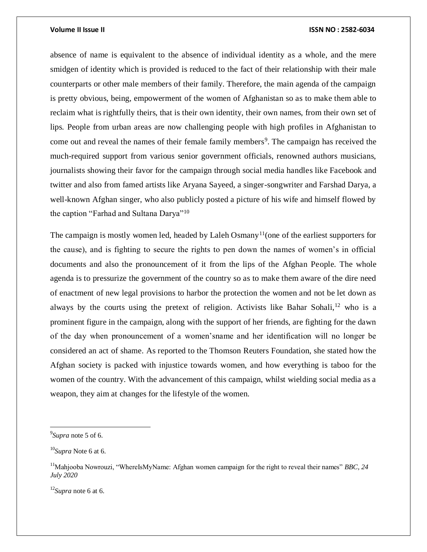absence of name is equivalent to the absence of individual identity as a whole, and the mere smidgen of identity which is provided is reduced to the fact of their relationship with their male counterparts or other male members of their family. Therefore, the main agenda of the campaign is pretty obvious, being, empowerment of the women of Afghanistan so as to make them able to reclaim what is rightfully theirs, that is their own identity, their own names, from their own set of lips. People from urban areas are now challenging people with high profiles in Afghanistan to come out and reveal the names of their female family members<sup>9</sup>. The campaign has received the much-required support from various senior government officials, renowned authors musicians, journalists showing their favor for the campaign through social media handles like Facebook and twitter and also from famed artists like Aryana Sayeed, a singer-songwriter and Farshad Darya, a well-known Afghan singer, who also publicly posted a picture of his wife and himself flowed by the caption "Farhad and Sultana Darya"<sup>10</sup>

The campaign is mostly women led, headed by Laleh Osmany<sup>11</sup> (one of the earliest supporters for the cause), and is fighting to secure the rights to pen down the names of women's in official documents and also the pronouncement of it from the lips of the Afghan People. The whole agenda is to pressurize the government of the country so as to make them aware of the dire need of enactment of new legal provisions to harbor the protection the women and not be let down as always by the courts using the pretext of religion. Activists like Bahar Sohali,<sup>12</sup> who is a prominent figure in the campaign, along with the support of her friends, are fighting for the dawn of the day when pronouncement of a women'sname and her identification will no longer be considered an act of shame. As reported to the Thomson Reuters Foundation, she stated how the Afghan society is packed with injustice towards women, and how everything is taboo for the women of the country. With the advancement of this campaign, whilst wielding social media as a weapon, they aim at changes for the lifestyle of the women.

 $\overline{\phantom{a}}$ 

<sup>12</sup>*Supra* note 6 at 6.

<sup>9</sup> *Supra* note 5 of 6.

<sup>10</sup>*Supra* Note 6 at 6.

<sup>&</sup>lt;sup>11</sup>Mahjooba Nowrouzi, "WhereIsMyName: Afghan women campaign for the right to reveal their names" *BBC*, 24 *July 2020*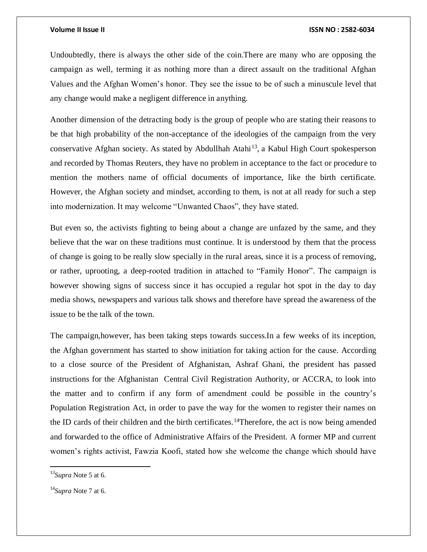Undoubtedly, there is always the other side of the coin.There are many who are opposing the campaign as well, terming it as nothing more than a direct assault on the traditional Afghan Values and the Afghan Women's honor. They see the issue to be of such a minuscule level that any change would make a negligent difference in anything.

Another dimension of the detracting body is the group of people who are stating their reasons to be that high probability of the non-acceptance of the ideologies of the campaign from the very conservative Afghan society. As stated by Abdullhah Atahi<sup>13</sup>, a Kabul High Court spokesperson and recorded by Thomas Reuters, they have no problem in acceptance to the fact or procedure to mention the mothers name of official documents of importance, like the birth certificate. However, the Afghan society and mindset, according to them, is not at all ready for such a step into modernization. It may welcome "Unwanted Chaos", they have stated.

But even so, the activists fighting to being about a change are unfazed by the same, and they believe that the war on these traditions must continue. It is understood by them that the process of change is going to be really slow specially in the rural areas, since it is a process of removing, or rather, uprooting, a deep-rooted tradition in attached to "Family Honor". The campaign is however showing signs of success since it has occupied a regular hot spot in the day to day media shows, newspapers and various talk shows and therefore have spread the awareness of the issue to be the talk of the town.

The campaign,however, has been taking steps towards success.In a few weeks of its inception, the Afghan government has started to show initiation for taking action for the cause. According to a close source of the President of Afghanistan, Ashraf Ghani, the president has passed instructions for the Afghanistan Central Civil Registration Authority, or ACCRA, to look into the matter and to confirm if any form of amendment could be possible in the country's Population Registration Act, in order to pave the way for the women to register their names on the ID cards of their children and the birth certificates.<sup>14</sup>Therefore, the act is now being amended and forwarded to the office of Administrative Affairs of the President. A former MP and current women's rights activist, Fawzia Koofi, stated how she welcome the change which should have

<sup>13</sup>*Supra* Note 5 at 6.

<sup>14</sup>*Supra* Note 7 at 6.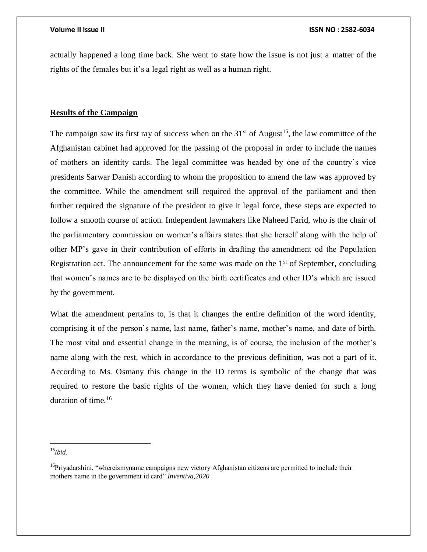actually happened a long time back. She went to state how the issue is not just a matter of the rights of the females but it's a legal right as well as a human right.

# **Results of the Campaign**

The campaign saw its first ray of success when on the  $31<sup>st</sup>$  of August<sup>15</sup>, the law committee of the Afghanistan cabinet had approved for the passing of the proposal in order to include the names of mothers on identity cards. The legal committee was headed by one of the country's vice presidents Sarwar Danish according to whom the proposition to amend the law was approved by the committee. While the amendment still required the approval of the parliament and then further required the signature of the president to give it legal force, these steps are expected to follow a smooth course of action. Independent lawmakers like Naheed Farid, who is the chair of the parliamentary commission on women's affairs states that she herself along with the help of other MP's gave in their contribution of efforts in drafting the amendment od the Population Registration act. The announcement for the same was made on the  $1<sup>st</sup>$  of September, concluding that women's names are to be displayed on the birth certificates and other ID's which are issued by the government.

What the amendment pertains to, is that it changes the entire definition of the word identity, comprising it of the person's name, last name, father's name, mother's name, and date of birth. The most vital and essential change in the meaning, is of course, the inclusion of the mother's name along with the rest, which in accordance to the previous definition, was not a part of it. According to Ms. Osmany this change in the ID terms is symbolic of the change that was required to restore the basic rights of the women, which they have denied for such a long duration of time.<sup>16</sup>

<sup>15</sup>*Ibid.*

 $16P$ riyadarshini, "whereismyname campaigns new victory Afghanistan citizens are permitted to include their mothers name in the government id card" *Inventiva,2020*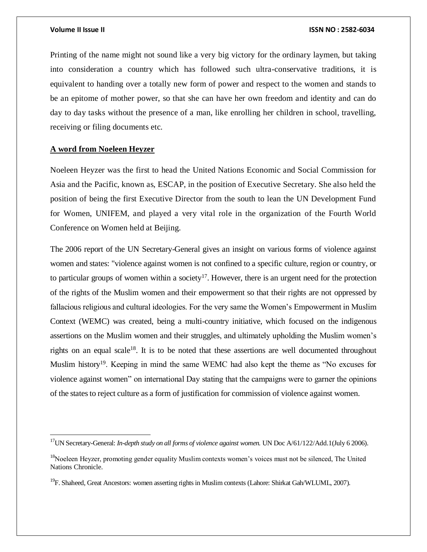$\overline{a}$ 

Printing of the name might not sound like a very big victory for the ordinary laymen, but taking into consideration a country which has followed such ultra-conservative traditions, it is equivalent to handing over a totally new form of power and respect to the women and stands to be an epitome of mother power, so that she can have her own freedom and identity and can do day to day tasks without the presence of a man, like enrolling her children in school, travelling, receiving or filing documents etc.

# **A word from Noeleen Heyzer**

Noeleen Heyzer was the first to head the United Nations Economic and Social Commission for Asia and the Pacific, known as, ESCAP, in the position of Executive Secretary. She also held the position of being the first Executive Director from the south to lean the UN Development Fund for Women, UNIFEM, and played a very vital role in the organization of the Fourth World Conference on Women held at Beijing.

The 2006 report of the UN Secretary-General gives an insight on various forms of violence against women and states: "violence against women is not confined to a specific culture, region or country, or to particular groups of women within a society<sup>17</sup>. However, there is an urgent need for the protection of the rights of the Muslim women and their empowerment so that their rights are not oppressed by fallacious religious and cultural ideologies. For the very same the Women's Empowerment in Muslim Context (WEMC) was created, being a multi-country initiative, which focused on the indigenous assertions on the Muslim women and their struggles, and ultimately upholding the Muslim women's rights on an equal scale<sup>18</sup>. It is to be noted that these assertions are well documented throughout Muslim history<sup>19</sup>. Keeping in mind the same WEMC had also kept the theme as "No excuses for violence against women" on international Day stating that the campaigns were to garner the opinions of the states to reject culture as a form of justification for commission of violence against women.

<sup>&</sup>lt;sup>17</sup>UN Secretary-General: *In-depth study on all forms of violence against women*. UN Doc A/61/122/Add.1(July 6 2006).

<sup>&</sup>lt;sup>18</sup>Noeleen Heyzer, promoting gender equality Muslim contexts women's voices must not be silenced, The United Nations Chronicle.

<sup>&</sup>lt;sup>19</sup>F. Shaheed, Great Ancestors: women asserting rights in Muslim contexts (Lahore: Shirkat Gah/WLUML, 2007).